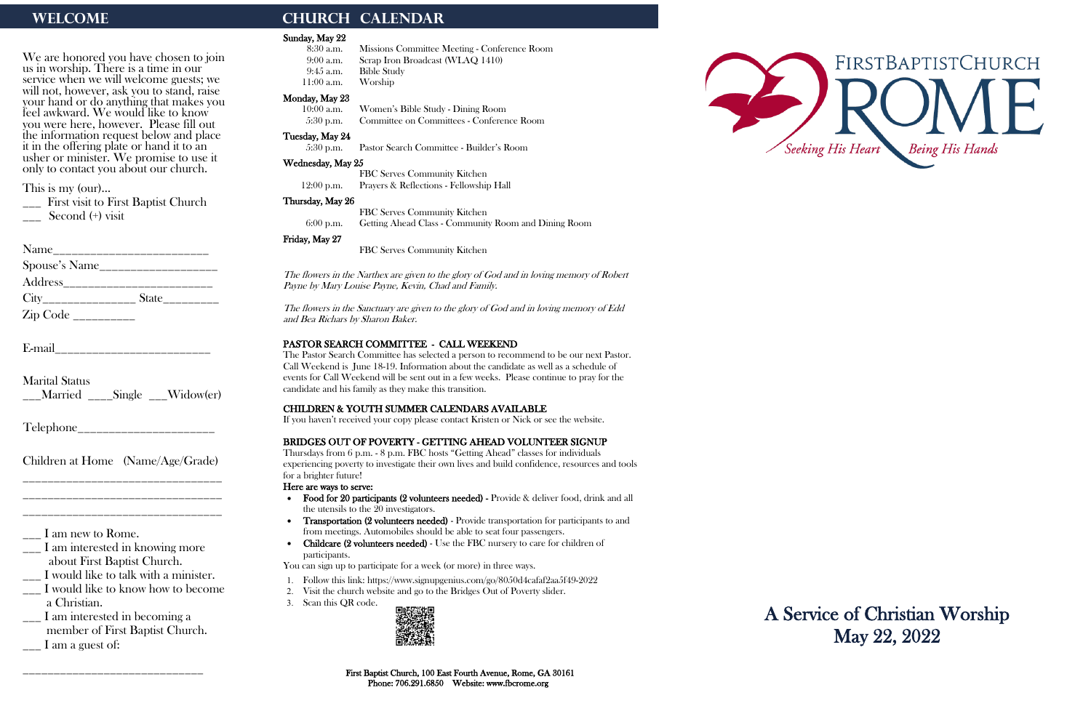We are honored you have chosen to join us in worship. There is a time in our service when we will welcome guests; we will not, however, ask you to stand, raise your hand or do anything that makes you feel awkward. We would like to know you were here, however. Please fill out the information request below and place it in the offering plate or hand it to an usher or minister. We promise to use it only to contact you about our church.

\_\_\_ First visit to First Baptist Church Second (+) visit

| Name          |                              |
|---------------|------------------------------|
| Spouse's Name |                              |
| Address       |                              |
|               | $State$ <sub>_________</sub> |
|               |                              |

This is my (our)…

\_\_\_ I am interested in becoming a member of First Baptist Church.  $\frac{1}{\sqrt{2}}$  I am a guest of:

E-mail\_\_\_\_\_\_\_\_\_\_\_\_\_\_\_\_\_\_\_\_\_\_\_\_\_

Marital Status \_\_\_Married \_\_\_\_Single \_\_\_Widow(er)

Telephone\_\_\_\_\_\_\_\_\_\_\_\_\_\_\_\_\_\_\_\_\_\_

Children at Home (Name/Age/Grade) \_\_\_\_\_\_\_\_\_\_\_\_\_\_\_\_\_\_\_\_\_\_\_\_\_\_\_\_\_\_\_\_

\_\_\_\_\_\_\_\_\_\_\_\_\_\_\_\_\_\_\_\_\_\_\_\_\_\_\_\_\_\_\_\_ \_\_\_\_\_\_\_\_\_\_\_\_\_\_\_\_\_\_\_\_\_\_\_\_\_\_\_\_\_\_\_\_

\_\_\_ I am new to Rome.

\_\_\_ I am interested in knowing more about First Baptist Church.

\_\_\_ I would like to talk with a minister.

\_\_\_ I would like to know how to become a Christian.

\_\_\_\_\_\_\_\_\_\_\_\_\_\_\_\_\_\_\_\_\_\_\_\_\_\_\_\_\_

# WELCOME **CHURCH CALENDAR**

#### Sunday, May 22

- 8:30 a.m. Missions Committee Meeting Conference Room 9:00 a.m. Scrap Iron Broadcast (WLAQ 1410)
- 9:45 a.m. Bible Study
- 11:00 a.m. Worship

## Monday, May 23

10:00 a.m. Women's Bible Study - Dining Room 5:30 p.m. Committee on Committees - Conference Room

## Tuesday, May 24

5:30 p.m. Pastor Search Committee - Builder's Room

#### Wednesday, May 25

- Follow this link:<https://www.signupgenius.com/go/8050d4cafaf2aa5f49-2022>
- 2. Visit the church website and go to the Bridges Out of Poverty slider.
- 3. Scan this QR code.



FBC Serves Community Kitchen 12:00 p.m. Prayers & Reflections - Fellowship Hall



#### Thursday, May 26

FBC Serves Community Kitchen 6:00 p.m. Getting Ahead Class - Community Room and Dining Room

## Friday, May 27

FBC Serves Community Kitchen

The flowers in the Narthex are given to the glory of God and in loving memory of Robert Payne by Mary Louise Payne, Kevin, Chad and Family.

The flowers in the Sanctuary are given to the glory of God and in loving memory of Edd and Bea Richars by Sharon Baker.

### PASTOR SEARCH COMMITTEE - CALL WEEKEND

The Pastor Search Committee has selected a person to recommend to be our next Pastor. Call Weekend is June 18-19. Information about the candidate as well as a schedule of events for Call Weekend will be sent out in a few weeks. Please continue to pray for the candidate and his family as they make this transition.

### CHILDREN & YOUTH SUMMER CALENDARS AVAILABLE

If you haven't received your copy please contact Kristen or Nick or see the website.

## BRIDGES OUT OF POVERTY - GETTING AHEAD VOLUNTEER SIGNUP

Thursdays from 6 p.m. - 8 p.m. FBC hosts "Getting Ahead" classes for individuals experiencing poverty to investigate their own lives and build confidence, resources and tools for a brighter future!

#### Here are ways to serve:

- Food for 20 participants (2 volunteers needed) Provide & deliver food, drink and all the utensils to the 20 investigators.
- Transportation (2 volunteers needed) Provide transportation for participants to and from meetings. Automobiles should be able to seat four passengers.
- Childcare (2 volunteers needed) Use the FBC nursery to care for children of participants.

You can sign up to participate for a week (or more) in three ways.

A Service of Christian Worship May 22, 2022